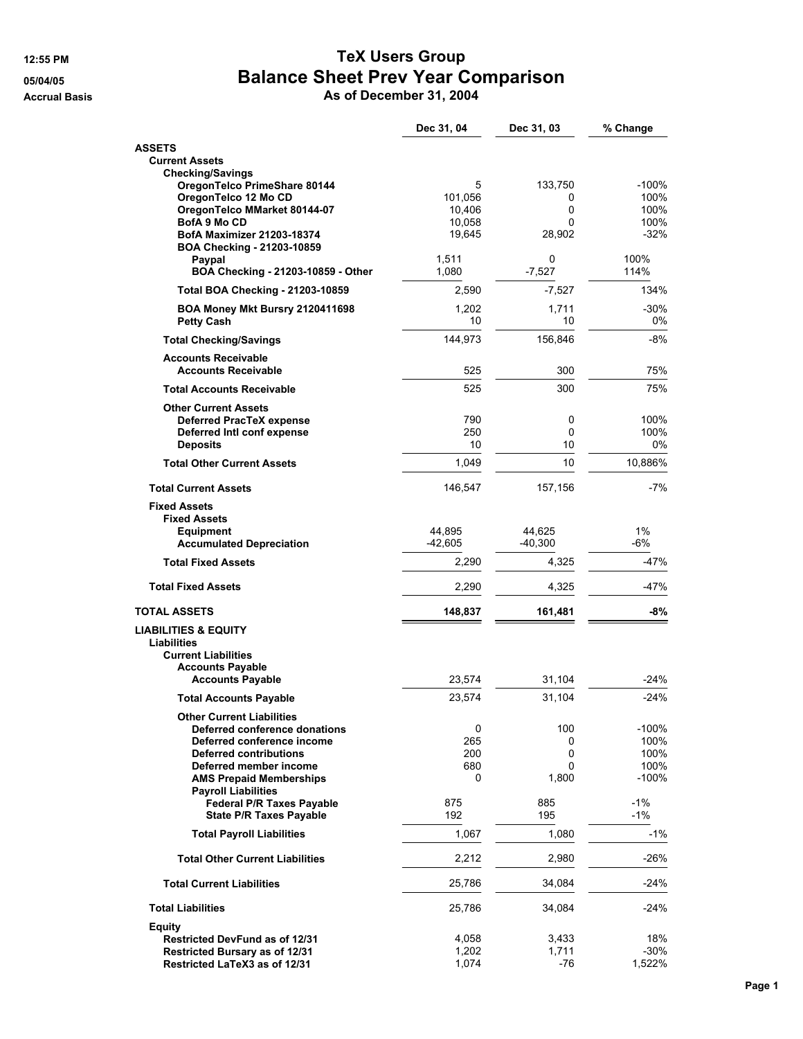## **12:55 PM TeX Users Group 05/04/05 Balance Sheet Prev Year Comparison**

**Accrual Basis As of December 31, 2004**

|                                                                   | Dec 31, 04   | Dec 31, 03   | % Change        |
|-------------------------------------------------------------------|--------------|--------------|-----------------|
| <b>ASSETS</b>                                                     |              |              |                 |
| <b>Current Assets</b>                                             |              |              |                 |
| <b>Checking/Savings</b>                                           |              |              |                 |
| OregonTelco PrimeShare 80144<br>OregonTelco 12 Mo CD              | 5<br>101,056 | 133,750<br>0 | $-100%$<br>100% |
| OregonTelco MMarket 80144-07                                      | 10,406       | 0            | 100%            |
| BofA 9 Mo CD                                                      | 10,058       | 0            | 100%            |
| <b>BofA Maximizer 21203-18374</b><br>BOA Checking - 21203-10859   | 19,645       | 28,902       | $-32%$          |
| Paypal                                                            | 1,511        | 0            | 100%            |
| BOA Checking - 21203-10859 - Other                                | 1,080        | $-7,527$     | 114%            |
| <b>Total BOA Checking - 21203-10859</b>                           | 2,590        | $-7,527$     | 134%            |
| BOA Money Mkt Bursry 2120411698<br><b>Petty Cash</b>              | 1,202<br>10  | 1,711<br>10  | $-30%$<br>0%    |
| <b>Total Checking/Savings</b>                                     | 144,973      | 156,846      | $-8%$           |
| <b>Accounts Receivable</b>                                        |              |              |                 |
| <b>Accounts Receivable</b>                                        | 525          | 300          | 75%             |
| <b>Total Accounts Receivable</b>                                  | 525          | 300          | 75%             |
| <b>Other Current Assets</b><br><b>Deferred PracTeX expense</b>    | 790          | 0            | 100%            |
| Deferred Intl conf expense                                        | 250          | 0            | 100%            |
| <b>Deposits</b>                                                   | 10           | 10           | 0%              |
| <b>Total Other Current Assets</b>                                 | 1,049        | 10           | 10,886%         |
| <b>Total Current Assets</b>                                       | 146,547      | 157,156      | $-7%$           |
| <b>Fixed Assets</b>                                               |              |              |                 |
| <b>Fixed Assets</b>                                               |              |              |                 |
| <b>Equipment</b>                                                  | 44,895       | 44,625       | 1%              |
| <b>Accumulated Depreciation</b>                                   | $-42,605$    | $-40,300$    | -6%             |
| <b>Total Fixed Assets</b>                                         | 2,290        | 4,325        | -47%            |
| <b>Total Fixed Assets</b>                                         | 2,290        | 4,325        | -47%            |
| <b>TOTAL ASSETS</b>                                               | 148,837      | 161,481      | -8%             |
| <b>LIABILITIES &amp; EQUITY</b>                                   |              |              |                 |
| Liabilities                                                       |              |              |                 |
| <b>Current Liabilities</b><br><b>Accounts Payable</b>             |              |              |                 |
| <b>Accounts Payable</b>                                           | 23,574       | 31,104       | $-24%$          |
| <b>Total Accounts Payable</b>                                     | 23,574       | 31,104       | $-24%$          |
|                                                                   |              |              |                 |
| <b>Other Current Liabilities</b><br>Deferred conference donations | 0            | 100          | $-100%$         |
| Deferred conference income                                        | 265          | 0            | 100%            |
| <b>Deferred contributions</b>                                     | 200          | 0            | 100%            |
| Deferred member income                                            | 680          | 0            | 100%            |
| <b>AMS Prepaid Memberships</b>                                    | 0            | 1,800        | $-100%$         |
| <b>Payroll Liabilities</b><br><b>Federal P/R Taxes Payable</b>    | 875          | 885          | $-1%$           |
| <b>State P/R Taxes Payable</b>                                    | 192          | 195          | $-1%$           |
| <b>Total Payroll Liabilities</b>                                  | 1,067        | 1,080        | $-1%$           |
| <b>Total Other Current Liabilities</b>                            | 2,212        | 2,980        | $-26%$          |
| <b>Total Current Liabilities</b>                                  | 25,786       | 34,084       | -24%            |
| <b>Total Liabilities</b>                                          | 25,786       | 34,084       | $-24%$          |
|                                                                   |              |              |                 |
| <b>Equity</b><br><b>Restricted DevFund as of 12/31</b>            | 4,058        | 3,433        | 18%             |
| Restricted Bursary as of 12/31                                    | 1,202        | 1,711        | $-30%$          |
| Restricted LaTeX3 as of 12/31                                     | 1,074        | -76          | 1,522%          |